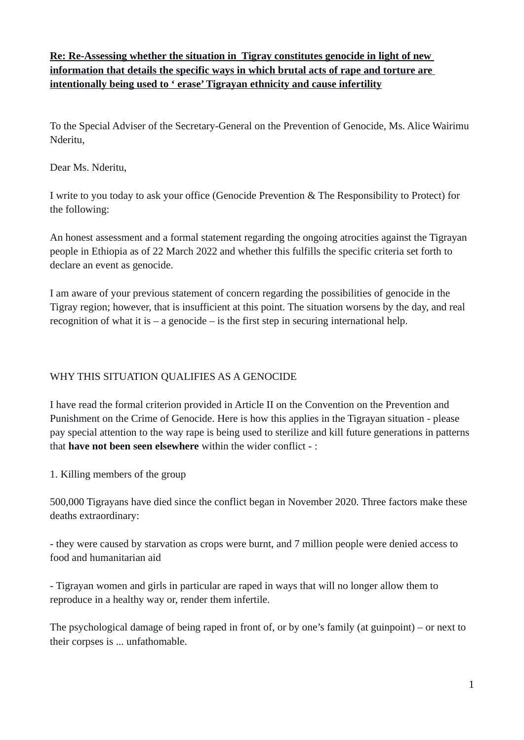**Re: Re-Assessing whether the situation in Tigray constitutes genocide in light of new information that details the specific ways in which brutal acts of rape and torture are intentionally being used to ' erase' Tigrayan ethnicity and cause infertility**

To the Special Adviser of the Secretary-General on the Prevention of Genocide, Ms. Alice Wairimu Nderitu,

Dear Ms. Nderitu,

I write to you today to ask your office (Genocide Prevention & The Responsibility to Protect) for the following:

An honest assessment and a formal statement regarding the ongoing atrocities against the Tigrayan people in Ethiopia as of 22 March 2022 and whether this fulfills the specific criteria set forth to declare an event as genocide.

I am aware of your previous statement of concern regarding the possibilities of genocide in the Tigray region; however, that is insufficient at this point. The situation worsens by the day, and real recognition of what it is  $-$  a genocide  $-$  is the first step in securing international help.

# WHY THIS SITUATION QUALIFIES AS A GENOCIDE

I have read the formal criterion provided in Article II on the Convention on the Prevention and Punishment on the Crime of Genocide. Here is how this applies in the Tigrayan situation - please pay special attention to the way rape is being used to sterilize and kill future generations in patterns that **have not been seen elsewhere** within the wider conflict - :

1. Killing members of the group

500,000 Tigrayans have died since the conflict began in November 2020. Three factors make these deaths extraordinary:

- they were caused by starvation as crops were burnt, and 7 million people were denied access to food and humanitarian aid

- Tigrayan women and girls in particular are raped in ways that will no longer allow them to reproduce in a healthy way or, render them infertile.

The psychological damage of being raped in front of, or by one's family (at guinpoint) – or next to their corpses is ... unfathomable.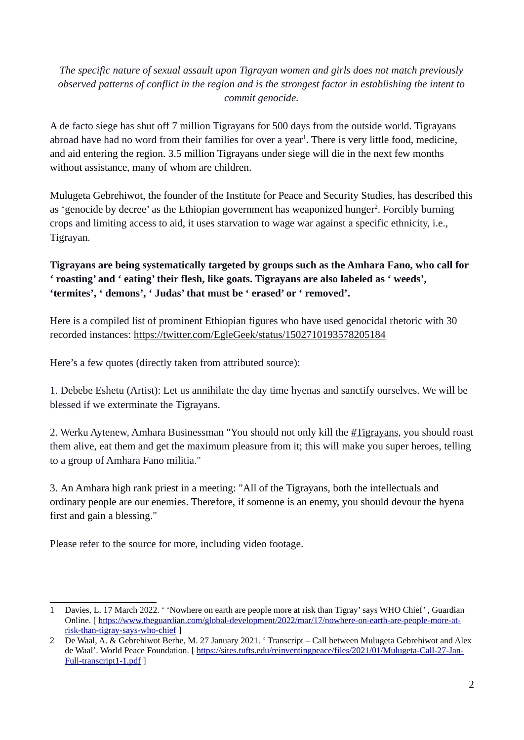## *The specific nature of sexual assault upon Tigrayan women and girls does not match previously observed patterns of conflict in the region and is the strongest factor in establishing the intent to commit genocide.*

<span id="page-1-0"></span>A de facto siege has shut off 7 million Tigrayans for 500 days from the outside world. Tigrayans abroad have had no word from their families for over a year<sup>[1](#page-1-1)</sup>. There is very little food, medicine, and aid entering the region. 3.5 million Tigrayans under siege will die in the next few months without assistance, many of whom are children.

<span id="page-1-2"></span>Mulugeta Gebrehiwot, the founder of the Institute for Peace and Security Studies, has described this as 'genocide by decree' as the Ethiopian government has weaponized hunger<sup>[2](#page-1-3)</sup>. Forcibly burning crops and limiting access to aid, it uses starvation to wage war against a specific ethnicity, i.e., Tigrayan.

## **Tigrayans are being systematically targeted by groups such as the Amhara Fano, who call for ' roasting' and ' eating' their flesh, like goats. Tigrayans are also labeled as ' weeds', 'termites', ' demons', ' Judas' that must be ' erased' or ' removed'.**

Here is a compiled list of prominent Ethiopian figures who have used genocidal rhetoric with 30 recorded instances:<https://twitter.com/EgleGeek/status/1502710193578205184>

Here's a few quotes (directly taken from attributed source):

1. Debebe Eshetu (Artist): Let us annihilate the day time hyenas and sanctify ourselves. We will be blessed if we exterminate the Tigrayans.

2. Werku Aytenew, Amhara Businessman "You should not only kill the [#Tigrayans,](https://twitter.com/hashtag/Tigrayans?src=hashtag_click) you should roast them alive, eat them and get the maximum pleasure from it; this will make you super heroes, telling to a group of Amhara Fano militia."

3. An Amhara high rank priest in a meeting: "All of the Tigrayans, both the intellectuals and ordinary people are our enemies. Therefore, if someone is an enemy, you should devour the hyena first and gain a blessing."

Please refer to the source for more, including video footage.

<span id="page-1-1"></span>[<sup>1</sup>](#page-1-0) Davies, L. 17 March 2022. ' 'Nowhere on earth are people more at risk than Tigray' says WHO Chief' , Guardian Online. [ [https://www.theguardian.com/global-development/2022/mar/17/nowhere-on-earth-are-people-more-at](https://www.theguardian.com/global-development/2022/mar/17/nowhere-on-earth-are-people-more-at-risk-than-tigray-says-who-chief)[risk-than-tigray-says-who-chief](https://www.theguardian.com/global-development/2022/mar/17/nowhere-on-earth-are-people-more-at-risk-than-tigray-says-who-chief) ]

<span id="page-1-3"></span>[<sup>2</sup>](#page-1-2) De Waal, A. & Gebrehiwot Berhe, M. 27 January 2021. ' Transcript – Call between Mulugeta Gebrehiwot and Alex de Waal'. World Peace Foundation. [ [https://sites.tufts.edu/reinventingpeace/files/2021/01/Mulugeta-Call-27-Jan-](https://sites.tufts.edu/reinventingpeace/files/2021/01/Mulugeta-Call-27-Jan-Full-transcript1-1.pdf)[Full-transcript1-1.pdf](https://sites.tufts.edu/reinventingpeace/files/2021/01/Mulugeta-Call-27-Jan-Full-transcript1-1.pdf) ]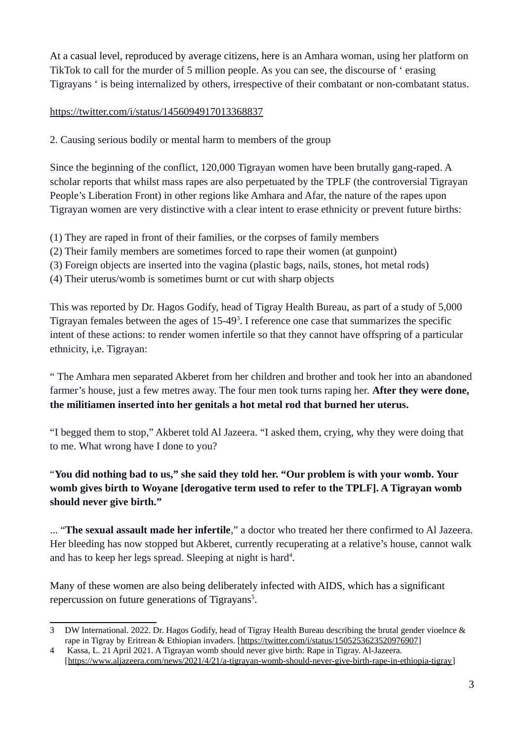At a casual level, reproduced by average citizens, here is an Amhara woman, using her platform on TikTok to call for the murder of 5 million people. As you can see, the discourse of ' erasing Tigrayans ' is being internalized by others, irrespective of their combatant or non-combatant status.

### <https://twitter.com/i/status/1456094917013368837>

2. Causing serious bodily or mental harm to members of the group

Since the beginning of the conflict, 120,000 Tigrayan women have been brutally gang-raped. A scholar reports that whilst mass rapes are also perpetuated by the TPLF (the controversial Tigrayan People's Liberation Front) in other regions like Amhara and Afar, the nature of the rapes upon Tigrayan women are very distinctive with a clear intent to erase ethnicity or prevent future births:

- (1) They are raped in front of their families, or the corpses of family members
- (2) Their family members are sometimes forced to rape their women (at gunpoint)
- (3) Foreign objects are inserted into the vagina (plastic bags, nails, stones, hot metal rods)
- (4) Their uterus/womb is sometimes burnt or cut with sharp objects

<span id="page-2-0"></span>This was reported by Dr. Hagos Godify, head of Tigray Health Bureau, as part of a study of 5,000 Tigrayan females between the ages of  $15-49<sup>3</sup>$  $15-49<sup>3</sup>$  $15-49<sup>3</sup>$ . I reference one case that summarizes the specific intent of these actions: to render women infertile so that they cannot have offspring of a particular ethnicity, i,e. Tigrayan:

" The Amhara men separated Akberet from her children and brother and took her into an abandoned farmer's house, just a few metres away. The four men took turns raping her. **After they were done, the militiamen inserted into her genitals a hot metal rod that burned her uterus.**

"I begged them to stop," Akberet told Al Jazeera. "I asked them, crying, why they were doing that to me. What wrong have I done to you?

# "**You did nothing bad to us," she said they told her. "Our problem is with your womb. Your womb gives birth to Woyane [derogative term used to refer to the TPLF]. A Tigrayan womb should never give birth."**

<span id="page-2-2"></span>... "**The sexual assault made her infertile**," a doctor who treated her there confirmed to Al Jazeera. Her bleeding has now stopped but Akberet, currently recuperating at a relative's house, cannot walk and has to keep her legs spread. Sleeping at night is hard<sup>[4](#page-2-3)</sup>.

<span id="page-2-4"></span>Many of these women are also being deliberately infected with AIDS, which has a significant repercussion on future generations of Tigrayans<sup>[5](#page-3-0)</sup>.

<span id="page-2-1"></span>[<sup>3</sup>](#page-2-0) DW International. 2022. Dr. Hagos Godify, head of Tigray Health Bureau describing the brutal gender vioelnce & rape in Tigray by Eritrean & Ethiopian invaders. [\[https://twitter.com/i/status/1505253623520976907](https://twitter.com/i/status/1505253623520976907)]

<span id="page-2-3"></span>[<sup>4</sup>](#page-2-2) Kassa, L. 21 April 2021. A Tigrayan womb should never give birth: Rape in Tigray. Al-Jazeera. [\[https://www.aljazeera.com/news/2021/4/21/a-tigrayan-womb-should-never-give-birth-rape-in-ethiopia-tigray](https://www.aljazeera.com/news/2021/4/21/a-tigrayan-womb-should-never-give-birth-rape-in-ethiopia-tigray)]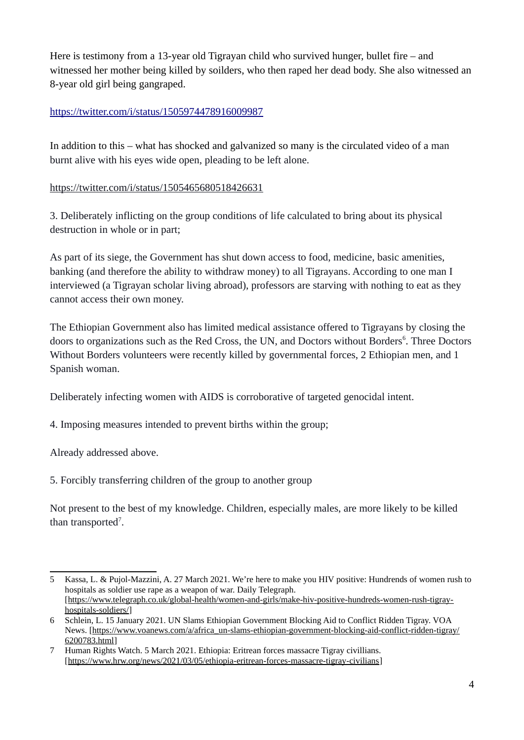Here is testimony from a 13-year old Tigrayan child who survived hunger, bullet fire – and witnessed her mother being killed by soilders, who then raped her dead body. She also witnessed an 8-year old girl being gangraped.

#### <https://twitter.com/i/status/1505974478916009987>

In addition to this – what has shocked and galvanized so many is the circulated video of a man burnt alive with his eyes wide open, pleading to be left alone.

#### <https://twitter.com/i/status/1505465680518426631>

3. Deliberately inflicting on the group conditions of life calculated to bring about its physical destruction in whole or in part;

As part of its siege, the Government has shut down access to food, medicine, basic amenities, banking (and therefore the ability to withdraw money) to all Tigrayans. According to one man I interviewed (a Tigrayan scholar living abroad), professors are starving with nothing to eat as they cannot access their own money.

<span id="page-3-1"></span>The Ethiopian Government also has limited medical assistance offered to Tigrayans by closing the doors to organizations such as the Red Cross, the UN, and Doctors without Borders<sup>[6](#page-3-2)</sup>. Three Doctors Without Borders volunteers were recently killed by governmental forces, 2 Ethiopian men, and 1 Spanish woman.

Deliberately infecting women with AIDS is corroborative of targeted genocidal intent.

4. Imposing measures intended to prevent births within the group;

Already addressed above.

5. Forcibly transferring children of the group to another group

<span id="page-3-3"></span>Not present to the best of my knowledge. Children, especially males, are more likely to be killed than transported<sup>[7](#page-3-4)</sup>.

<span id="page-3-0"></span>[<sup>5</sup>](#page-2-4) Kassa, L. & Pujol-Mazzini, A. 27 March 2021. We're here to make you HIV positive: Hundrends of women rush to hospitals as soldier use rape as a weapon of war. Daily Telegraph. [\[https://www.telegraph.co.uk/global-health/women-and-girls/make-hiv-positive-hundreds-women-rush-tigray](https://www.telegraph.co.uk/global-health/women-and-girls/make-hiv-positive-hundreds-women-rush-tigray-hospitals-soldiers/)[hospitals-soldiers/\]](https://www.telegraph.co.uk/global-health/women-and-girls/make-hiv-positive-hundreds-women-rush-tigray-hospitals-soldiers/)

<span id="page-3-2"></span>[<sup>6</sup>](#page-3-1) Schlein, L. 15 January 2021. UN Slams Ethiopian Government Blocking Aid to Conflict Ridden Tigray. VOA News. [[https://www.voanews.com/a/africa\\_un-slams-ethiopian-government-blocking-aid-conflict-ridden-tigray/](https://www.voanews.com/a/africa_un-slams-ethiopian-government-blocking-aid-conflict-ridden-tigray/6200783.html) [6200783.html\]](https://www.voanews.com/a/africa_un-slams-ethiopian-government-blocking-aid-conflict-ridden-tigray/6200783.html)

<span id="page-3-4"></span>[<sup>7</sup>](#page-3-3) Human Rights Watch. 5 March 2021. Ethiopia: Eritrean forces massacre Tigray civillians. [\[https://www.hrw.org/news/2021/03/05/ethiopia-eritrean-forces-massacre-tigray-civilians](https://www.hrw.org/news/2021/03/05/ethiopia-eritrean-forces-massacre-tigray-civilians)]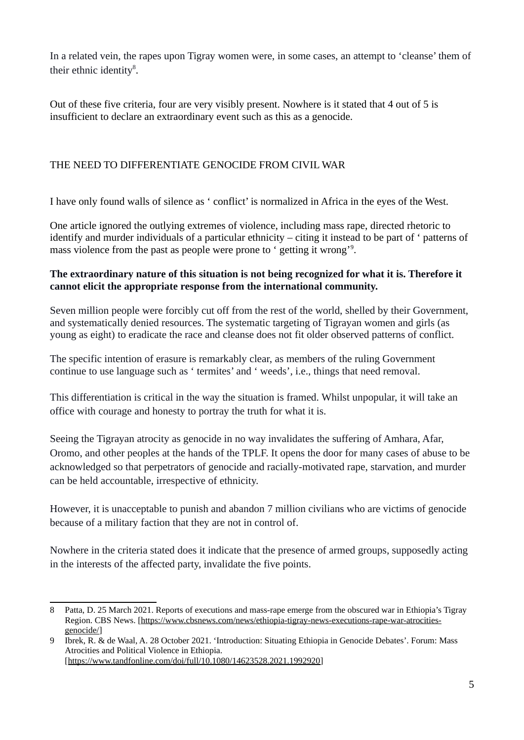<span id="page-4-0"></span>In a related vein, the rapes upon Tigray women were, in some cases, an attempt to 'cleanse' them of their ethnic identity $8$ .

Out of these five criteria, four are very visibly present. Nowhere is it stated that 4 out of 5 is insufficient to declare an extraordinary event such as this as a genocide.

### THE NEED TO DIFFERENTIATE GENOCIDE FROM CIVIL WAR

I have only found walls of silence as ' conflict' is normalized in Africa in the eyes of the West.

<span id="page-4-2"></span>One article ignored the outlying extremes of violence, including mass rape, directed rhetoric to identify and murder individuals of a particular ethnicity – citing it instead to be part of ' patterns of mass violence from the past as people were prone to ' getting it wrong'<sup>[9](#page-4-3)</sup>.

#### **The extraordinary nature of this situation is not being recognized for what it is. Therefore it cannot elicit the appropriate response from the international community.**

Seven million people were forcibly cut off from the rest of the world, shelled by their Government, and systematically denied resources. The systematic targeting of Tigrayan women and girls (as young as eight) to eradicate the race and cleanse does not fit older observed patterns of conflict.

The specific intention of erasure is remarkably clear, as members of the ruling Government continue to use language such as ' termites' and ' weeds', i.e., things that need removal.

This differentiation is critical in the way the situation is framed. Whilst unpopular, it will take an office with courage and honesty to portray the truth for what it is.

Seeing the Tigrayan atrocity as genocide in no way invalidates the suffering of Amhara, Afar, Oromo, and other peoples at the hands of the TPLF. It opens the door for many cases of abuse to be acknowledged so that perpetrators of genocide and racially-motivated rape, starvation, and murder can be held accountable, irrespective of ethnicity.

However, it is unacceptable to punish and abandon 7 million civilians who are victims of genocide because of a military faction that they are not in control of.

Nowhere in the criteria stated does it indicate that the presence of armed groups, supposedly acting in the interests of the affected party, invalidate the five points.

<span id="page-4-1"></span>[<sup>8</sup>](#page-4-0) Patta, D. 25 March 2021. Reports of executions and mass-rape emerge from the obscured war in Ethiopia's Tigray Region. CBS News. [\[https://www.cbsnews.com/news/ethiopia-tigray-news-executions-rape-war-atrocities](https://www.cbsnews.com/news/ethiopia-tigray-news-executions-rape-war-atrocities-genocide/)[genocide/\]](https://www.cbsnews.com/news/ethiopia-tigray-news-executions-rape-war-atrocities-genocide/)

<span id="page-4-3"></span>[<sup>9</sup>](#page-4-2) Ibrek, R. & de Waal, A. 28 October 2021. 'Introduction: Situating Ethiopia in Genocide Debates'. Forum: Mass Atrocities and Political Violence in Ethiopia. [\[https://www.tandfonline.com/doi/full/10.1080/14623528.2021.1992920](https://www.tandfonline.com/doi/full/10.1080/14623528.2021.1992920)]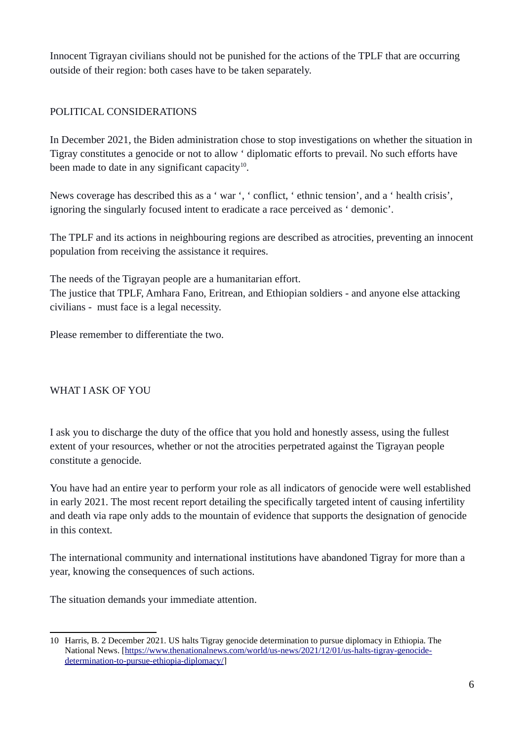Innocent Tigrayan civilians should not be punished for the actions of the TPLF that are occurring outside of their region: both cases have to be taken separately.

### POLITICAL CONSIDERATIONS

<span id="page-5-0"></span>In December 2021, the Biden administration chose to stop investigations on whether the situation in Tigray constitutes a genocide or not to allow ' diplomatic efforts to prevail. No such efforts have been made to date in any significant capacity $^{10}$  $^{10}$  $^{10}$ .

News coverage has described this as a ' war ', ' conflict, ' ethnic tension', and a ' health crisis', ignoring the singularly focused intent to eradicate a race perceived as ' demonic'.

The TPLF and its actions in neighbouring regions are described as atrocities, preventing an innocent population from receiving the assistance it requires.

The needs of the Tigrayan people are a humanitarian effort.

The justice that TPLF, Amhara Fano, Eritrean, and Ethiopian soldiers - and anyone else attacking civilians - must face is a legal necessity.

Please remember to differentiate the two.

# WHAT I ASK OF YOU

I ask you to discharge the duty of the office that you hold and honestly assess, using the fullest extent of your resources, whether or not the atrocities perpetrated against the Tigrayan people constitute a genocide.

You have had an entire year to perform your role as all indicators of genocide were well established in early 2021. The most recent report detailing the specifically targeted intent of causing infertility and death via rape only adds to the mountain of evidence that supports the designation of genocide in this context.

The international community and international institutions have abandoned Tigray for more than a year, knowing the consequences of such actions.

The situation demands your immediate attention.

<span id="page-5-1"></span>[<sup>10</sup>](#page-5-0) Harris, B. 2 December 2021. US halts Tigray genocide determination to pursue diplomacy in Ethiopia. The National News. [[https://www.thenationalnews.com/world/us-news/2021/12/01/us-halts-tigray-genocide](https://www.thenationalnews.com/world/us-news/2021/12/01/us-halts-tigray-genocide-determination-to-pursue-ethiopia-diplomacy/)[determination-to-pursue-ethiopia-diplomacy/](https://www.thenationalnews.com/world/us-news/2021/12/01/us-halts-tigray-genocide-determination-to-pursue-ethiopia-diplomacy/)]